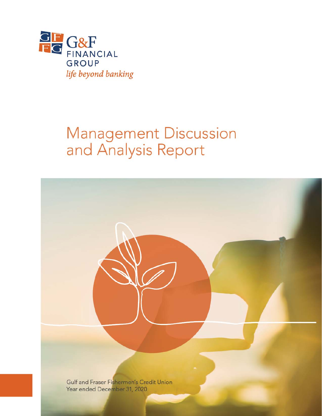

# Management Discussion<br>and Analysis Report

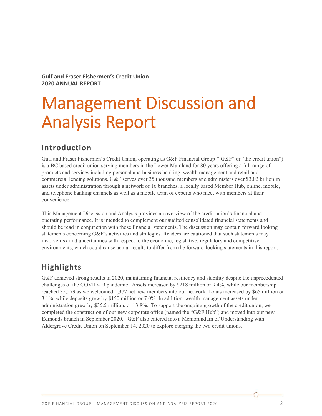**Gulf and Fraser Fishermen's Credit Union 2020 ANNUAL REPORT** 

# Management Discussion and Analysis Report

# **Introduction**

Gulf and Fraser Fishermen's Credit Union, operating as G&F Financial Group ("G&F" or "the credit union") is a BC based credit union serving members in the Lower Mainland for 80 years offering a full range of products and services including personal and business banking, wealth management and retail and commercial lending solutions. G&F serves over 35 thousand members and administers over \$3.02 billion in assets under administration through a network of 16 branches, a locally based Member Hub, online, mobile, and telephone banking channels as well as a mobile team of experts who meet with members at their convenience.

This Management Discussion and Analysis provides an overview of the credit union's financial and operating performance. It is intended to complement our audited consolidated financial statements and should be read in conjunction with those financial statements. The discussion may contain forward looking statements concerning G&F's activities and strategies. Readers are cautioned that such statements may involve risk and uncertainties with respect to the economic, legislative, regulatory and competitive environments, which could cause actual results to differ from the forward-looking statements in this report.

## **Highlights**

G&F achieved strong results in 2020, maintaining financial resiliency and stability despite the unprecedented challenges of the COVID-19 pandemic. Assets increased by \$218 million or 9.4%, while our membership reached 35,579 as we welcomed 1,377 net new members into our network. Loans increased by \$65 million or 3.1%, while deposits grew by \$150 million or 7.0%. In addition, wealth management assets under administration grew by \$35.5 million, or 13.8%. To support the ongoing growth of the credit union, we completed the construction of our new corporate office (named the "G&F Hub") and moved into our new Edmonds branch in September 2020. G&F also entered into a Memorandum of Understanding with Aldergrove Credit Union on September 14, 2020 to explore merging the two credit unions.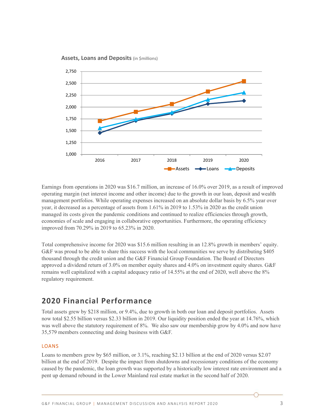**Assets, Loans and Deposits** (in \$millions)



Earnings from operations in 2020 was \$16.7 million, an increase of 16.0% over 2019, as a result of improved operating margin (net interest income and other income) due to the growth in our loan, deposit and wealth management portfolios. While operating expenses increased on an absolute dollar basis by 6.5% year over year, it decreased as a percentage of assets from 1.61% in 2019 to 1.53% in 2020 as the credit union managed its costs given the pandemic conditions and continued to realize efficiencies through growth, economies of scale and engaging in collaborative opportunities. Furthermore, the operating efficiency improved from 70.29% in 2019 to 65.23% in 2020.

Total comprehensive income for 2020 was \$15.6 million resulting in an 12.8% growth in members' equity. G&F was proud to be able to share this success with the local communities we serve by distributing \$405 thousand through the credit union and the G&F Financial Group Foundation. The Board of Directors approved a dividend return of 3.0% on member equity shares and 4.0% on investment equity shares. G&F remains well capitalized with a capital adequacy ratio of 14.55% at the end of 2020, well above the 8% regulatory requirement.

### **2020 Financial Performance**

Total assets grew by \$218 million, or 9.4%, due to growth in both our loan and deposit portfolios. Assets now total \$2.55 billion versus \$2.33 billion in 2019. Our liquidity position ended the year at 14.76%, which was well above the statutory requirement of 8%. We also saw our membership grow by 4.0% and now have 35,579 members connecting and doing business with G&F.

#### LOANS

Loans to members grew by \$65 million, or 3.1%, reaching \$2.13 billion at the end of 2020 versus \$2.07 billion at the end of 2019. Despite the impact from shutdowns and recessionary conditions of the economy caused by the pandemic, the loan growth was supported by a historically low interest rate environment and a pent up demand rebound in the Lower Mainland real estate market in the second half of 2020.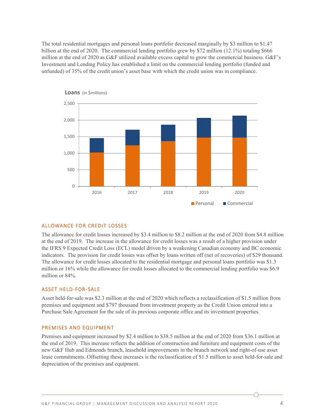The total residential mortgages and personal loans portfolio decreased marginally by \$3 million to \$1.47 billion at the end of 2020. The commercial lending portfolio grew by \$72 million (12.1%) totaling \$666 million at the end of 2020 as G&F utilized available excess capital to grow the commercial business. G&F's Investment and Lending Policy has established a limit on the commercial lending portfolio (funded and unfunded) of 35% of the credit union's asset base with which the credit union was in compliance.



**Loans** (in \$millions)

#### ALLOWANCE FOR CREDIT LOSSES

The allowance for credit losses increased by \$3.4 million to \$8.2 million at the end of 2020 from \$4.8 million at the end of 2019. The increase in the allowance for credit losses was a result of a higher provision under the IFRS 9 Expected Credit Loss (ECL) model driven by a weakening Canadian economy and BC economic indicators. The provision for credit losses was offset by loans written off (net of recoveries) of \$29 thousand. The allowance for credit losses allocated to the residential mortgage and personal loans portfolio was \$1.3 million or 16% while the allowance for credit losses allocated to the commercial lending portfolio was \$6.9 million or 84%.

#### ASSET HELD‐FOR‐SALE

Asset held-for-sale was \$2.3 million at the end of 2020 which reflects a reclassification of \$1.5 million from premises and equipment and \$797 thousand from investment property as the Credit Union entered into a Purchase Sale Agreement for the sale of its previous corporate office and its investment properties.

#### PREMISES AND EQUIPMENT

Premises and equipment increased by \$2.4 million to \$38.5 million at the end of 2020 from \$36.1 million at the end of 2019. This increase reflects the addition of construction and furniture and equipment costs of the new G&F Hub and Edmonds branch, leasehold improvements in the branch network and right-of-use asset lease commitments. Offsetting these increases is the reclassification of \$1.5 million to asset held-for-sale and depreciation of the premises and equipment.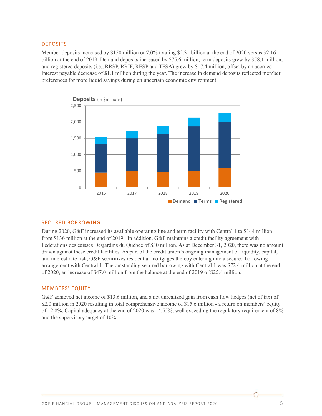#### DEPOSITS

Member deposits increased by \$150 million or 7.0% totaling \$2.31 billion at the end of 2020 versus \$2.16 billion at the end of 2019. Demand deposits increased by \$75.6 million, term deposits grew by \$58.1 million, and registered deposits (i.e., RRSP, RRIF, RESP and TFSA) grew by \$17.4 million, offset by an accrued interest payable decrease of \$1.1 million during the year. The increase in demand deposits reflected member preferences for more liquid savings during an uncertain economic environment.



#### SECURED BORROWING

During 2020, G&F increased its available operating line and term facility with Central 1 to \$144 million from \$136 million at the end of 2019. In addition, G&F maintains a credit facility agreement with Fédérations des caisses Desjardins du Québec of \$30 million. As at December 31, 2020, there was no amount drawn against these credit facilities. As part of the credit union's ongoing management of liquidity, capital, and interest rate risk, G&F securitizes residential mortgages thereby entering into a secured borrowing arrangement with Central 1. The outstanding secured borrowing with Central 1 was \$72.4 million at the end of 2020, an increase of \$47.0 million from the balance at the end of 2019 of \$25.4 million.

#### MEMBERS' EQUITY

G&F achieved net income of \$13.6 million, and a net unrealized gain from cash flow hedges (net of tax) of \$2.0 million in 2020 resulting in total comprehensive income of \$15.6 million - a return on members' equity of 12.8%. Capital adequacy at the end of 2020 was 14.55%, well exceeding the regulatory requirement of 8% and the supervisory target of 10%.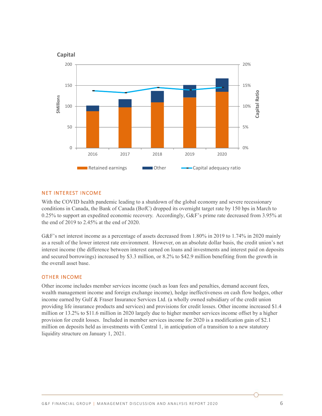

#### NET INTEREST INCOME

With the COVID health pandemic leading to a shutdown of the global economy and severe recessionary conditions in Canada, the Bank of Canada (BofC) dropped its overnight target rate by 150 bps in March to 0.25% to support an expedited economic recovery. Accordingly, G&F's prime rate decreased from 3.95% at the end of 2019 to 2.45% at the end of 2020.

G&F's net interest income as a percentage of assets decreased from 1.80% in 2019 to 1.74% in 2020 mainly as a result of the lower interest rate environment. However, on an absolute dollar basis, the credit union's net interest income (the difference between interest earned on loans and investments and interest paid on deposits and secured borrowings) increased by \$3.3 million, or 8.2% to \$42.9 million benefiting from the growth in the overall asset base.

#### OTHER INCOME

Other income includes member services income (such as loan fees and penalties, demand account fees, wealth management income and foreign exchange income), hedge ineffectiveness on cash flow hedges, other income earned by Gulf & Fraser Insurance Services Ltd. (a wholly owned subsidiary of the credit union providing life insurance products and services) and provisions for credit losses. Other income increased \$1.4 million or 13.2% to \$11.6 million in 2020 largely due to higher member services income offset by a higher provision for credit losses. Included in member services income for 2020 is a modification gain of \$2.1 million on deposits held as investments with Central 1, in anticipation of a transition to a new statutory liquidity structure on January 1, 2021.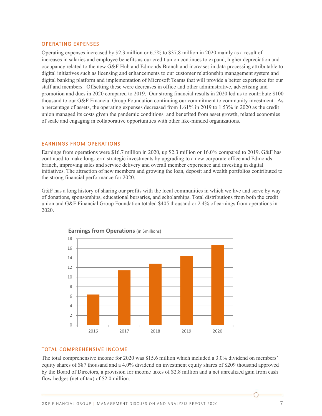#### OPERATING EXPENSES

Operating expenses increased by \$2.3 million or 6.5% to \$37.8 million in 2020 mainly as a result of increases in salaries and employee benefits as our credit union continues to expand, higher depreciation and occupancy related to the new G&F Hub and Edmonds Branch and increases in data processing attributable to digital initiatives such as licensing and enhancements to our customer relationship management system and digital banking platform and implementation of Microsoft Teams that will provide a better experience for our staff and members. Offsetting these were decreases in office and other administrative, advertising and promotion and dues in 2020 compared to 2019. Our strong financial results in 2020 led us to contribute \$100 thousand to our G&F Financial Group Foundation continuing our commitment to community investment. As a percentage of assets, the operating expenses decreased from 1.61% in 2019 to 1.53% in 2020 as the credit union managed its costs given the pandemic conditions and benefited from asset growth, related economies of scale and engaging in collaborative opportunities with other like-minded organizations.

#### EARNINGS FROM OPERATIONS

Earnings from operations were \$16.7 million in 2020, up \$2.3 million or 16.0% compared to 2019. G&F has continued to make long-term strategic investments by upgrading to a new corporate office and Edmonds branch, improving sales and service delivery and overall member experience and investing in digital initiatives. The attraction of new members and growing the loan, deposit and wealth portfolios contributed to the strong financial performance for 2020.

G&F has a long history of sharing our profits with the local communities in which we live and serve by way of donations, sponsorships, educational bursaries, and scholarships. Total distributions from both the credit union and G&F Financial Group Foundation totaled \$405 thousand or 2.4% of earnings from operations in 2020.





#### TOTAL COMPREHENSIVE INCOME

The total comprehensive income for 2020 was \$15.6 million which included a 3.0% dividend on members' equity shares of \$87 thousand and a 4.0% dividend on investment equity shares of \$209 thousand approved by the Board of Directors, a provision for income taxes of \$2.8 million and a net unrealized gain from cash flow hedges (net of tax) of \$2.0 million.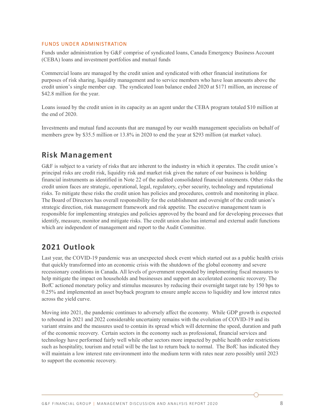#### FUNDS UNDER ADMINISTRATION

Funds under administration by G&F comprise of syndicated loans, Canada Emergency Business Account (CEBA) loans and investment portfolios and mutual funds

Commercial loans are managed by the credit union and syndicated with other financial institutions for purposes of risk sharing, liquidity management and to service members who have loan amounts above the credit union's single member cap. The syndicated loan balance ended 2020 at \$171 million, an increase of \$42.8 million for the year.

Loans issued by the credit union in its capacity as an agent under the CEBA program totaled \$10 million at the end of 2020.

Investments and mutual fund accounts that are managed by our wealth management specialists on behalf of members grew by \$35.5 million or 13.8% in 2020 to end the year at \$293 million (at market value).

# **Risk Management**

G&F is subject to a variety of risks that are inherent to the industry in which it operates. The credit union's principal risks are credit risk, liquidity risk and market risk given the nature of our business is holding financial instruments as identified in Note 22 of the audited consolidated financial statements. Other risks the credit union faces are strategic, operational, legal, regulatory, cyber security, technology and reputational risks. To mitigate these risks the credit union has policies and procedures, controls and monitoring in place. The Board of Directors has overall responsibility for the establishment and oversight of the credit union's strategic direction, risk management framework and risk appetite. The executive management team is responsible for implementing strategies and policies approved by the board and for developing processes that identify, measure, monitor and mitigate risks. The credit union also has internal and external audit functions which are independent of management and report to the Audit Committee.

# **2021 Outlook**

Last year, the COVID-19 pandemic was an unexpected shock event which started out as a public health crisis that quickly transformed into an economic crisis with the shutdown of the global economy and severe recessionary conditions in Canada. All levels of government responded by implementing fiscal measures to help mitigate the impact on households and businesses and support an accelerated economic recovery. The BofC actioned monetary policy and stimulus measures by reducing their overnight target rate by 150 bps to 0.25% and implemented an asset buyback program to ensure ample access to liquidity and low interest rates across the yield curve.

Moving into 2021, the pandemic continues to adversely affect the economy. While GDP growth is expected to rebound in 2021 and 2022 considerable uncertainty remains with the evolution of COVID-19 and its variant strains and the measures used to contain its spread which will determine the speed, duration and path of the economic recovery. Certain sectors in the economy such as professional, financial services and technology have performed fairly well while other sectors more impacted by public health order restrictions such as hospitality, tourism and retail will be the last to return back to normal. The BofC has indicated they will maintain a low interest rate environment into the medium term with rates near zero possibly until 2023 to support the economic recovery.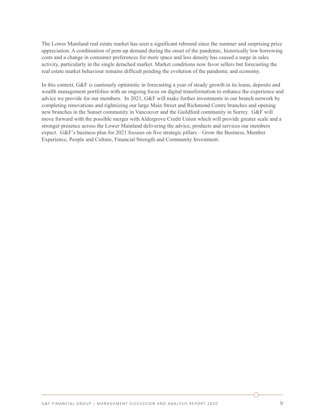The Lower Mainland real estate market has seen a significant rebound since the summer and surprising price appreciation. A combination of pent-up demand during the onset of the pandemic, historically low borrowing costs and a change in consumer preferences for more space and less density has caused a surge in sales activity, particularly in the single detached market. Market conditions now favor sellers but forecasting the real estate market behaviour remains difficult pending the evolution of the pandemic and economy.

In this context, G&F is cautiously optimistic in forecasting a year of steady growth in its loans, deposits and wealth management portfolios with an ongoing focus on digital transformation to enhance the experience and advice we provide for our members. In 2021, G&F will make further investments in our branch network by completing renovations and rightsizing our large Main Street and Richmond Centre branches and opening new branches in the Sunset community in Vancouver and the Guildford community in Surrey. G&F will move forward with the possible merger with Aldergrove Credit Union which will provide greater scale and a stronger presence across the Lower Mainland delivering the advice, products and services our members expect. G&F's business plan for 2021 focuses on five strategic pillars – Grow the Business, Member Experience, People and Culture, Financial Strength and Community Investment.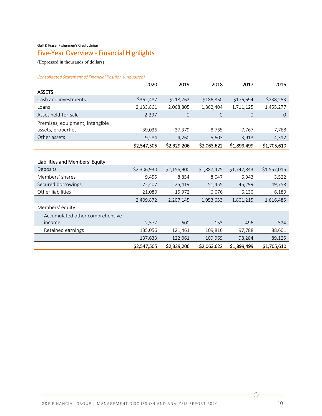#### Gulf & Fraser Fishermen's Credit Union

# Five‐Year Overview ‐ Financial Highlights

(Expressed in thousands of dollars)

*Consolidated Statement of Financial Position (unaudited)* 

|                                 | 2020        | 2019           | 2018           | 2017        | 2016        |
|---------------------------------|-------------|----------------|----------------|-------------|-------------|
| <b>ASSETS</b>                   |             |                |                |             |             |
| Cash and investments            | \$362,487   | \$218,762      | \$186,850      | \$176,694   | \$238,253   |
| Loans                           | 2,133,861   | 2,068,805      | 1,862,404      | 1,711,125   | 1,455,277   |
| Asset held-for-sale             | 2,297       | $\overline{O}$ | $\overline{0}$ | $\Omega$    | $\theta$    |
| Premises, equipment, intangible |             |                |                |             |             |
| assets, properties              | 39,036      | 37,379         | 8,765          | 7,767       | 7,768       |
| Other assets                    | 9,284       | 4,260          | 5,603          | 3,913       | 4,312       |
|                                 | \$2,547,505 | \$2,329,206    | \$2,063,622    | \$1,899,499 | \$1,705,610 |
|                                 |             |                |                |             |             |
| Liabilities and Members' Equity |             |                |                |             |             |
| Deposits                        | \$2,306,930 | \$2,156,900    | \$1,887,475    | \$1,742,843 | \$1,557,016 |
| Members' shares                 | 9,455       | 8,854          | 8,047          | 6,943       | 3,522       |
| Secured borrowings              | 72,407      | 25,419         | 51,455         | 45,299      | 49,758      |
| Other liabilities               | 21,080      | 15,972         | 6,676          | 6,130       | 6,189       |
|                                 | 2,409,872   | 2,207,145      | 1,953,653      | 1,801,215   | 1,616,485   |
| Members' equity                 |             |                |                |             |             |
| Accumulated other comprehensive |             |                |                |             |             |
| income                          | 2,577       | 600            | 153            | 496         | 524         |
| Retained earnings               | 135,056     | 121,461        | 109,816        | 97,788      | 88,601      |
|                                 | 137,633     | 122,061        | 109,969        | 98,284      | 89,125      |
|                                 | \$2,547,505 | \$2,329,206    | \$2,063,622    | \$1,899,499 | \$1,705,610 |

∩